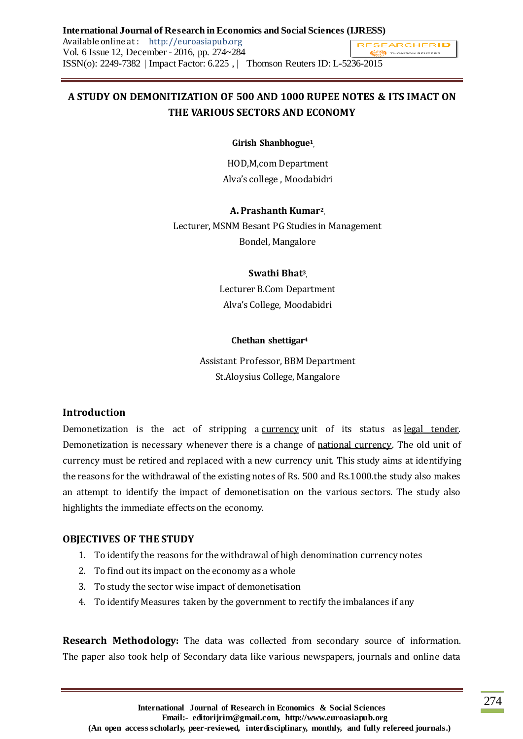#### **International Journal of Research in Economics and Social Sciences (IJRESS)** Available online at : http://euroasiapub.org **RESEARCHERID** Vol. 6 Issue 12, December - 2016, pp. 274~284 THOMSON REUTERS ISSN(o): 2249-7382 | Impact Factor: 6.225 , | Thomson Reuters ID: L-5236-2015

# **A STUDY ON DEMONITIZATION OF 500 AND 1000 RUPEE NOTES & ITS IMACT ON THE VARIOUS SECTORS AND ECONOMY**

### **Girish Shanbhogue<sup>1</sup> ,**

HOD,M,com Department Alva's college , Moodabidri

#### **A. Prashanth Kumar<sup>2</sup> ,**

Lecturer, MSNM Besant PG Studies in Management Bondel, Mangalore

#### **Swathi Bhat<sup>3</sup> ,**

Lecturer B.Com Department Alva's College, Moodabidri

#### **Chethan shettigar<sup>4</sup>**

Assistant Professor, BBM Department St.Aloysius College, Mangalore

### **Introduction**

Demonetization is the act of stripping a [currency](http://www.investopedia.com/terms/c/currency.asp) unit of its status as [legal tender.](http://www.investopedia.com/terms/l/legal-tender.asp) Demonetization is necessary whenever there is a change of [national currency.](http://www.investopedia.com/terms/n/national-currency.asp) The old unit of currency must be retired and replaced with a new currency unit. This study aims at identifying the reasons for the withdrawal of the existing notes of Rs. 500 and Rs.1000.the study also makes an attempt to identify the impact of demonetisation on the various sectors. The study also highlights the immediate effects on the economy.

### **OBJECTIVES OF THE STUDY**

- 1. To identify the reasons for the withdrawal of high denomination currency notes
- 2. To find out its impact on the economy as a whole
- 3. To study the sector wise impact of demonetisation
- 4. To identify Measures taken by the government to rectify the imbalances if any

**Research Methodology:** The data was collected from secondary source of information. The paper also took help of Secondary data like various newspapers, journals and online data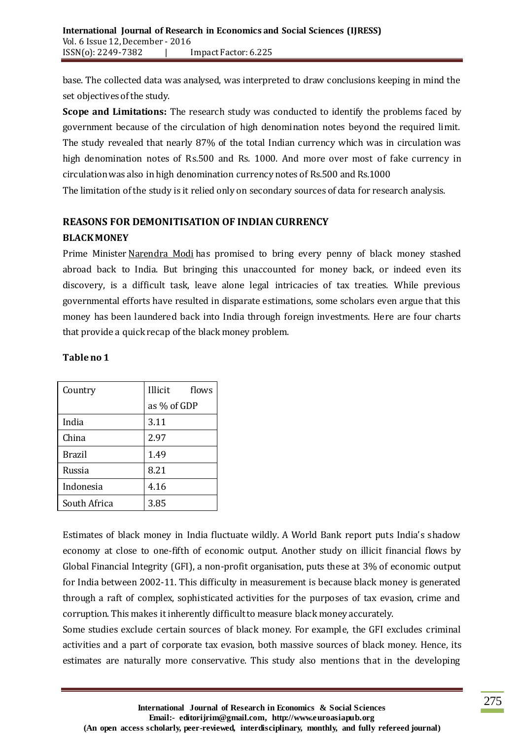base. The collected data was analysed, was interpreted to draw conclusions keeping in mind the set objectives of the study.

**Scope and Limitations:** The research study was conducted to identify the problems faced by government because of the circulation of high denomination notes beyond the required limit. The study revealed that nearly 87% of the total Indian currency which was in circulation was high denomination notes of Rs.500 and Rs. 1000. And more over most of fake currency in circulation was also in high denomination currency notes of Rs.500 and Rs.1000 The limitation of the study is it relied only on secondary sources of data for research analysis.

# **REASONS FOR DEMONITISATION OF INDIAN CURRENCY BLACK MONEY**

Prime Minister [Narendra Modi](http://www.livemint.com/Search/Link/Keyword/Narendra%20Modi) has promised to bring every penny of black money stashed abroad back to India. But bringing this unaccounted for money back, or indeed even its discovery, is a difficult task, leave alone legal intricacies of tax treaties. While previous governmental efforts have resulted in disparate estimations, some scholars even argue that this money has been laundered back into India through foreign investments. Here are four charts that provide a quick recap of the black money problem.

## **Table no 1**

| Country      | Illicit<br>flows |  |  |
|--------------|------------------|--|--|
|              | as % of GDP      |  |  |
| India        | 3.11             |  |  |
| China        | 2.97             |  |  |
| Brazil       | 1.49             |  |  |
| Russia       | 8.21             |  |  |
| Indonesia    | 4.16             |  |  |
| South Africa | 3.85             |  |  |

Estimates of black money in India fluctuate wildly. A World Bank report puts India's shadow economy at close to one-fifth of economic output. Another study on illicit financial flows by Global Financial Integrity (GFI), a non-profit organisation, puts these at 3% of economic output for India between 2002-11. This difficulty in measurement is because black money is generated through a raft of complex, sophisticated activities for the purposes of tax evasion, crime and corruption. This makes it inherently difficult to measure black money accurately.

Some studies exclude certain sources of black money. For example, the GFI excludes criminal activities and a part of corporate tax evasion, both massive sources of black money. Hence, its estimates are naturally more conservative. This study also mentions that in the developing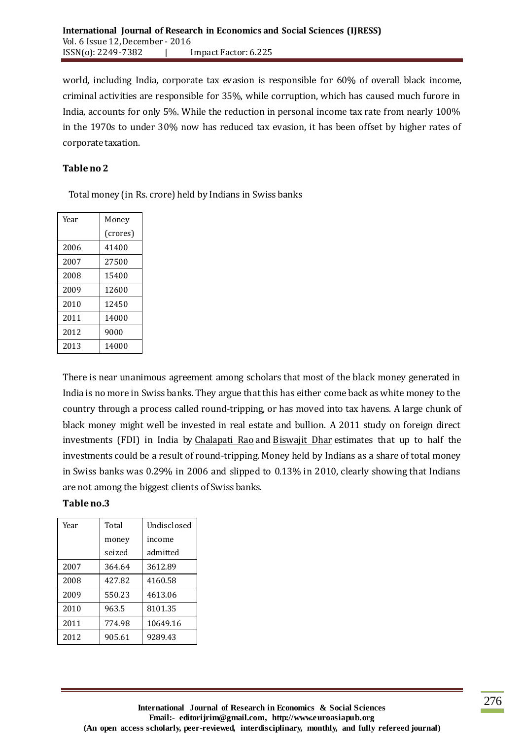world, including India, corporate tax evasion is responsible for 60% of overall black income, criminal activities are responsible for 35%, while corruption, which has caused much furore in India, accounts for only 5%. While the reduction in personal income tax rate from nearly 100% in the 1970s to under 30% now has reduced tax evasion, it has been offset by higher rates of corporate taxation.

### **Table no 2**

Total money (in Rs. crore) held by Indians in Swiss banks

| Year | Money    |  |  |
|------|----------|--|--|
|      | (crores) |  |  |
| 2006 | 41400    |  |  |
| 2007 | 27500    |  |  |
| 2008 | 15400    |  |  |
| 2009 | 12600    |  |  |
| 2010 | 12450    |  |  |
| 2011 | 14000    |  |  |
| 2012 | 9000     |  |  |
| 2013 | 14000    |  |  |

There is near unanimous agreement among scholars that most of the black money generated in India is no more in Swiss banks. They argue that this has either come back as white money to the country through a process called round-tripping, or has moved into tax havens. A large chunk of black money might well be invested in real estate and bullion. A 2011 study on foreign direct investments (FDI) in India by [Chalapati Rao](http://www.livemint.com/Search/Link/Keyword/Chalapati%20Rao) and [Biswajit Dhar](http://www.livemint.com/Search/Link/Keyword/Biswajit%20Dhar) estimates that up to half the investments could be a result of round-tripping. Money held by Indians as a share of total money in Swiss banks was 0.29% in 2006 and slipped to 0.13% in 2010, clearly showing that Indians are not among the biggest clients of Swiss banks.

#### **Table no.3**

| Year | Total  | Undisclosed |  |
|------|--------|-------------|--|
|      | money  | income      |  |
|      | seized | admitted    |  |
| 2007 | 364.64 | 3612.89     |  |
| 2008 | 427.82 | 4160.58     |  |
| 2009 | 550.23 | 4613.06     |  |
| 2010 | 963.5  | 8101.35     |  |
| 2011 | 774.98 | 10649.16    |  |
| 2012 | 905.61 | 9289.43     |  |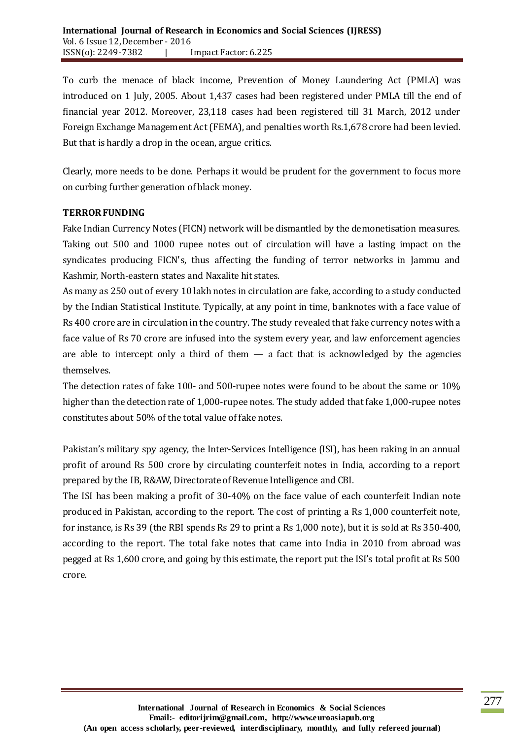To curb the menace of black income, Prevention of Money Laundering Act (PMLA) was introduced on 1 July, 2005. About 1,437 cases had been registered under PMLA till the end of financial year 2012. Moreover, 23,118 cases had been registered till 31 March, 2012 under Foreign Exchange Management Act (FEMA), and penalties worth Rs.1,678 crore had been levied. But that is hardly a drop in the ocean, argue critics.

Clearly, more needs to be done. Perhaps it would be prudent for the government to focus more on curbing further generation of black money.

### **TERROR FUNDING**

Fake Indian Currency Notes (FICN) network will be dismantled by the demonetisation measures. Taking out 500 and 1000 rupee notes out of circulation will have a lasting impact on the syndicates producing FICN's, thus affecting the funding of terror networks in Jammu and Kashmir, North-eastern states and Naxalite hit states.

As many as 250 out of every 10 lakh notes in circulation are fake, according to a study conducted by the Indian Statistical Institute. Typically, at any point in time, banknotes with a face value of Rs 400 crore are in circulation in the country. The study revealed that fake currency notes with a face value of Rs 70 crore are infused into the system every year, and law enforcement agencies are able to intercept only a third of them  $-$  a fact that is acknowledged by the agencies themselves.

The detection rates of fake 100- and 500-rupee notes were found to be about the same or 10% higher than the detection rate of 1,000-rupee notes. The study added that fake 1,000-rupee notes constitutes about 50% of the total value of fake notes.

Pakistan's military spy agency, the Inter-Services Intelligence (ISI), has been raking in an annual profit of around Rs 500 crore by circulating counterfeit notes in India, according to a report prepared by the IB, R&AW, Directorate of Revenue Intelligence and CBI.

The ISI has been making a profit of 30-40% on the face value of each counterfeit Indian note produced in Pakistan, according to the report. The cost of printing a Rs 1,000 counterfeit note, for instance, is Rs 39 (the RBI spends Rs 29 to print a Rs 1,000 note), but it is sold at Rs 350-400, according to the report. The total fake notes that came into India in 2010 from abroad was pegged at Rs 1,600 crore, and going by this estimate, the report put the ISI's total profit at Rs 500 crore.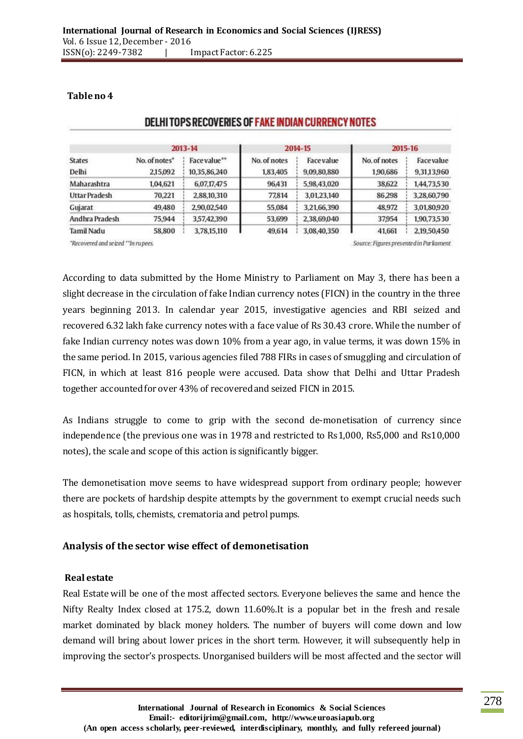| <b>States</b>        | 2013-14       |              | 2014-15      |                   | 2015-16      |             |
|----------------------|---------------|--------------|--------------|-------------------|--------------|-------------|
|                      | No. of notes* | Face value** | No. of notes | <b>Face value</b> | No. of notes | Facevalue   |
| Delhi                | 2,15,092      | 10,35,86,240 | 1,83,405     | 9,09,80,880       | 1,90,686     | 9,31,13,960 |
| Maharashtra          | 1,04,621      | 6,07,17,475  | 96,431       | 5,98,43,020       | 38,622       | 1,44,73,530 |
| <b>Uttar Pradesh</b> | 70,221        | 2,88,10,310  | 77,814       | 3,01,23,140       | 86,298       | 3,28,60,790 |
| Gujarat              | 49,480        | 2,90,02,540  | 55,084       | 3,21,66,390       | 48,972       | 3,01,80,920 |
| Andhra Pradesh       | 75,944        | 3,57,42,390  | 53,699       | 2,38,69,040       | 37954        | 1,90,73,530 |
| Tamil Nadu           | 58,800        | 3,78,15,110  | 49.614       | 3,08,40,350       | 41,661       | 2,19,50,450 |

#### **Table no 4**

DELHI TOPS RECOVERIES OF FAKE INDIAN CURRENCY NOTES

"Recovered and seized "In rupees.

Source: Figures presente din Parliament

According to data submitted by the Home Ministry to Parliament on May 3, there has been a slight decrease in the circulation of fake Indian currency notes (FICN) in the country in the three years beginning 2013. In calendar year 2015, investigative agencies and RBI seized and recovered 6.32 lakh fake currency notes with a face value of Rs 30.43 crore. While the number of fake Indian currency notes was down 10% from a year ago, in value terms, it was down 15% in the same period. In 2015, various agencies filed 788 FIRs in cases of smuggling and circulation of FICN, in which at least 816 people were accused. Data show that Delhi and Uttar Pradesh together accounted for over 43% of recovered and seized FICN in 2015.

As Indians struggle to come to grip with the second de-monetisation of currency since independence (the previous one was in 1978 and restricted to Rs1,000, Rs5,000 and Rs10,000 notes), the scale and scope of this action is significantly bigger.

The demonetisation move seems to have widespread support from ordinary people; however there are pockets of hardship despite attempts by the government to exempt crucial needs such as hospitals, tolls, chemists, crematoria and petrol pumps.

### **Analysis of the sector wise effect of demonetisation**

#### **Real estate**

Real Estate will be one of the most affected sectors. Everyone believes the same and hence the Nifty Realty Index closed at 175.2, down 11.60%.It is a popular bet in the fresh and resale market dominated by black money holders. The number of buyers will come down and low demand will bring about lower prices in the short term. However, it will subsequently help in improving the sector's prospects. Unorganised builders will be most affected and the sector will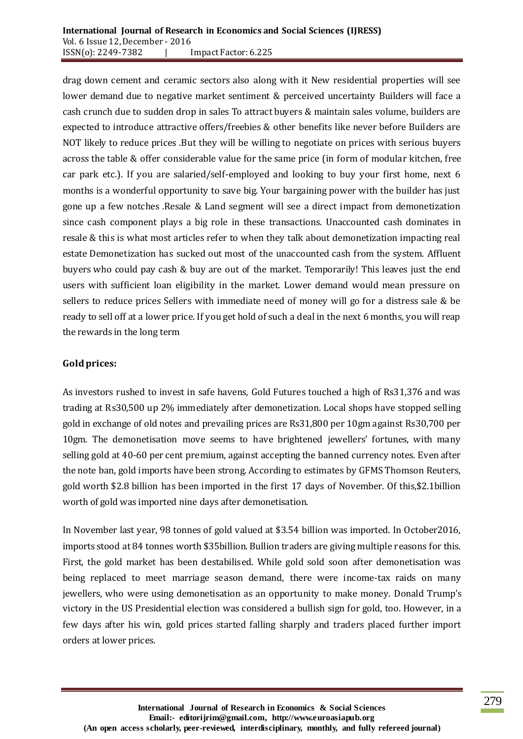drag down cement and ceramic sectors also along with it New residential properties will see lower demand due to negative market sentiment & perceived uncertainty Builders will face a cash crunch due to sudden drop in sales To attract buyers & maintain sales volume, builders are expected to introduce attractive offers/freebies & other benefits like never before Builders are NOT likely to reduce prices .But they will be willing to negotiate on prices with serious buyers across the table & offer considerable value for the same price (in form of modular kitchen, free car park etc.). If you are salaried/self-employed and looking to buy your first home, next 6 months is a wonderful opportunity to save big. Your bargaining power with the builder has just gone up a few notches .Resale & Land segment will see a direct impact from demonetization since cash component plays a big role in these transactions. Unaccounted cash dominates in resale & this is what most articles refer to when they talk about demonetization impacting real estate Demonetization has sucked out most of the unaccounted cash from the system. Affluent buyers who could pay cash & buy are out of the market. Temporarily! This leaves just the end users with sufficient loan eligibility in the market. Lower demand would mean pressure on sellers to reduce prices Sellers with immediate need of money will go for a distress sale & be ready to sell off at a lower price. If you get hold of such a deal in the next 6 months, you will reap the rewards in the long term

### **Goldprices:**

As investors rushed to invest in safe havens, Gold Futures touched a high of Rs31,376 and was trading at Rs30,500 up 2% immediately after demonetization. Local shops have stopped selling gold in exchange of old notes and prevailing prices are Rs31,800 per 10gm against Rs30,700 per 10gm. The demonetisation move seems to have brightened jewellers' fortunes, with many selling gold at 40-60 per cent premium, against accepting the banned currency notes. Even after the note ban, gold imports have been strong. According to estimates by GFMS Thomson Reuters, gold worth \$2.8 billion has been imported in the first 17 days of November. Of this,\$2.1billion worth of gold was imported nine days after demonetisation.

In November last year, 98 tonnes of gold valued at \$3.54 billion was imported. In October2016, imports stood at 84 tonnes worth \$35billion. Bullion traders are giving multiple reasons for this. First, the gold market has been destabilised. While gold sold soon after demonetisation was being replaced to meet marriage season demand, there were income-tax raids on many jewellers, who were using demonetisation as an opportunity to make money. Donald Trump's victory in the US Presidential election was considered a bullish sign for gold, too. However, in a few days after his win, gold prices started falling sharply and traders placed further import orders at lower prices.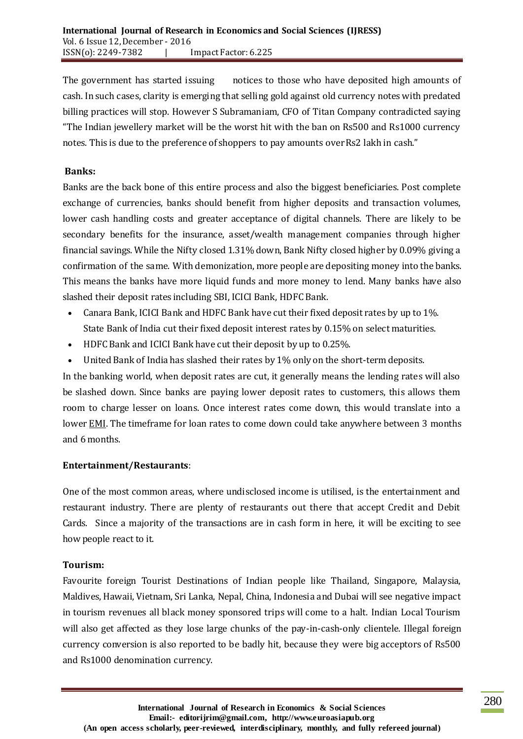The government has started issuing notices to those who have deposited high amounts of cash. In such cases, clarity is emerging that selling gold against old currency notes with predated billing practices will stop. However S Subramaniam, CFO of Titan Company contradicted saying "The Indian jewellery market will be the worst hit with the ban on Rs500 and Rs1000 currency notes. This is due to the preference of shoppers to pay amounts over Rs2 lakh in cash."

### **Banks:**

Banks are the back bone of this entire process and also the biggest beneficiaries. Post complete exchange of currencies, banks should benefit from higher deposits and transaction volumes, lower cash handling costs and greater acceptance of digital channels. There are likely to be secondary benefits for the insurance, asset/wealth management companies through higher financial savings. While the Nifty closed 1.31% down, Bank Nifty closed higher by 0.09% giving a confirmation of the same. With demonization, more people are depositing money into the banks. This means the banks have more liquid funds and more money to lend. Many banks have also slashed their deposit rates including SBI, ICICI Bank, HDFC Bank.

- Canara Bank, ICICI Bank and HDFC Bank have cut their fixed deposit rates by up to 1%. State Bank of India cut their fixed deposit interest rates by 0.15% on select maturities.
- HDFC Bank and ICICI Bank have cut their deposit by up to 0.25%.
- United Bank of India has slashed their rates by 1% only on the short-term deposits.

In the banking world, when deposit rates are cut, it generally means the lending rates will also be slashed down. Since banks are paying lower deposit rates to customers, this allows them room to charge lesser on loans. Once interest rates come down, this would translate into a lower **EMI**. The timeframe for loan rates to come down could take anywhere between 3 months and 6 months.

### **Entertainment/Restaurants**:

One of the most common areas, where undisclosed income is utilised, is the entertainment and restaurant industry. There are plenty of restaurants out there that accept Credit and Debit Cards. Since a majority of the transactions are in cash form in here, it will be exciting to see how people react to it.

#### **Tourism:**

Favourite foreign Tourist Destinations of Indian people like Thailand, Singapore, Malaysia, Maldives, Hawaii, Vietnam, Sri Lanka, Nepal, China, Indonesia and Dubai will see negative impact in tourism revenues all black money sponsored trips will come to a halt. Indian Local Tourism will also get affected as they lose large chunks of the pay-in-cash-only clientele. Illegal foreign currency conversion is also reported to be badly hit, because they were big acceptors of Rs500 and Rs1000 denomination currency.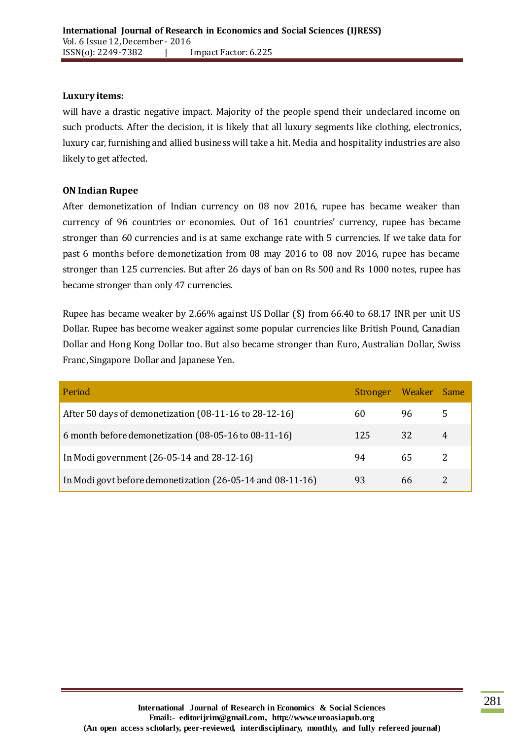### **Luxury items:**

will have a drastic negative impact. Majority of the people spend their undeclared income on such products. After the decision, it is likely that all luxury segments like clothing, electronics, luxury car, furnishing and allied business will take a hit. Media and hospitality industries are also likely to get affected.

### **ON Indian Rupee**

After demonetization of Indian currency on 08 nov 2016, rupee has became weaker than currency of 96 countries or economies. Out of 161 countries' currency, rupee has became stronger than 60 currencies and is at same exchange rate with 5 currencies. If we take data for past 6 months before demonetization from 08 may 2016 to 08 nov 2016, rupee has became stronger than 125 currencies. But after 26 days of ban on Rs 500 and Rs 1000 notes, rupee has became stronger than only 47 currencies.

Rupee has became weaker by 2.66% against US Dollar (\$) from 66.40 to 68.17 INR per unit US Dollar. Rupee has become weaker against some popular currencies like British Pound, Canadian Dollar and Hong Kong Dollar too. But also became stronger than Euro, Australian Dollar, Swiss Franc, Singapore Dollar and Japanese Yen.

| Period                                                     | Stronger Weaker Same |      |              |
|------------------------------------------------------------|----------------------|------|--------------|
| After 50 days of demonetization (08-11-16 to 28-12-16)     | 60                   | 96 — | $\mathbf{b}$ |
| 6 month before demonetization (08-05-16 to 08-11-16)       | 125                  | 32   | 4            |
| In Modi government (26-05-14 and 28-12-16)                 | 94                   | 65   |              |
| In Modi govt before demonetization (26-05-14 and 08-11-16) | 93                   | 66.  |              |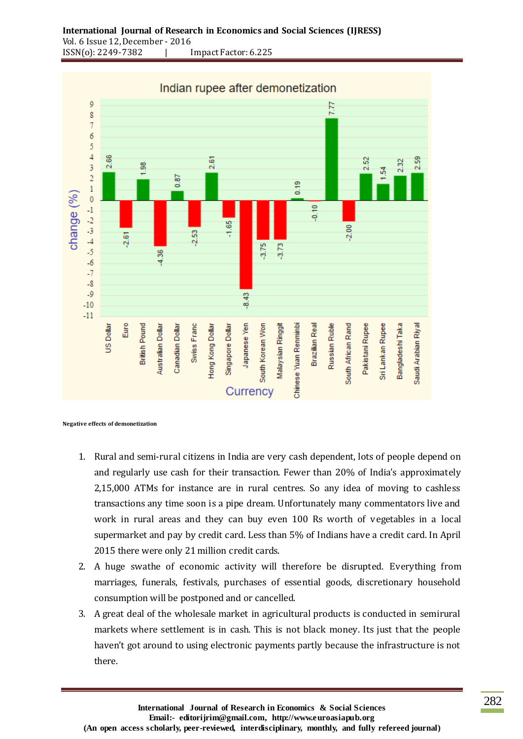

**Negative effects of demonetization** 

- 1. Rural and semi-rural citizens in India are very cash dependent, lots of people depend on and regularly use cash for their transaction. Fewer than 20% of India's approximately 2,15,000 ATMs for instance are in rural centres. So any idea of moving to cashless transactions any time soon is a pipe dream. Unfortunately many commentators live and work in rural areas and they can buy even 100 Rs worth of vegetables in a local supermarket and pay by credit card. Less than 5% of Indians have a credit card. In April 2015 there were only 21 million credit cards.
- 2. A huge swathe of economic activity will therefore be disrupted. Everything from marriages, funerals, festivals, purchases of essential goods, discretionary household consumption will be postponed and or cancelled.
- 3. A great deal of the wholesale market in agricultural products is conducted in semirural markets where settlement is in cash. This is not black money. Its just that the people haven't got around to using electronic payments partly because the infrastructure is not there.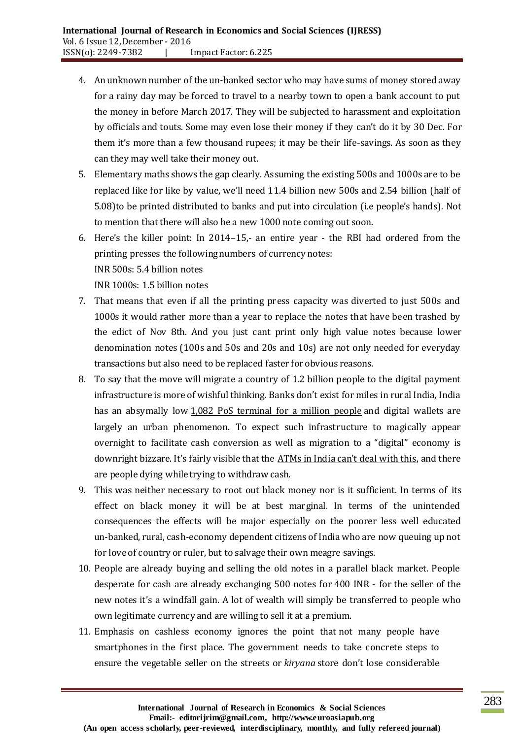- 4. An unknown number of the un-banked sector who may have sums of money stored away for a rainy day may be forced to travel to a nearby town to open a bank account to put the money in before March 2017. They will be subjected to harassment and exploitation by officials and touts. Some may even lose their money if they can't do it by 30 Dec. For them it's more than a few thousand rupees; it may be their life-savings. As soon as they can they may well take their money out.
- 5. Elementary maths shows the gap clearly. Assuming the existing 500s and 1000s are to be replaced like for like by value, we'll need 11.4 billion new 500s and 2.54 billion (half of 5.08)to be printed distributed to banks and put into circulation (i.e people's hands). Not to mention that there will also be a new 1000 note coming out soon.
- 6. Here's the killer point: In 2014–15,- an entire year the RBI had ordered from the printing presses the following numbers of currency notes: INR 500s: 5.4 billion notes INR 1000s: 1.5 billion notes
- 7. That means that even if all the printing press capacity was diverted to just 500s and 1000s it would rather more than a year to replace the notes that have been trashed by the edict of Nov 8th. And you just cant print only high value notes because lower denomination notes (100s and 50s and 20s and 10s) are not only needed for everyday transactions but also need to be replaced faster for obvious reasons.
- 8. To say that the move will migrate a country of 1.2 billion people to the digital payment infrastructure is more of wishful thinking. Banks don't exist for miles in rural India, India has an absymally low [1,082 PoS terminal for a million people](http://www.livemint.com/Politics/YwTp4IUs8dgeokfpULq9LM/Will-Modis-big-currencyscrapping-gamble-yield-results.html) and digital wallets are largely an urban phenomenon. To expect such infrastructure to magically appear overnight to facilitate cash conversion as well as migration to a "digital" economy is downright bizzare. It's fairly visible that the [ATMs in India can't deal with this](http://www.thehindubusinessline.com/money-and-banking/many-atms-are-either-shut-down-or-have-no-cash-rush-at-banks-continue/article9332547.ece), and there are people dying while trying to withdraw cash.
- 9. This was neither necessary to root out black money nor is it sufficient. In terms of its effect on black money it will be at best marginal. In terms of the unintended consequences the effects will be major especially on the poorer less well educated un-banked, rural, cash-economy dependent citizens of India who are now queuing up not for love of country or ruler, but to salvage their own meagre savings.
- 10. People are already buying and selling the old notes in a parallel black market. People desperate for cash are already exchanging 500 notes for 400 INR - for the seller of the new notes it's a windfall gain. A lot of wealth will simply be transferred to people who own legitimate currency and are willing to sell it at a premium.
- 11. Emphasis on cashless economy ignores the point that not many people have smartphones in the first place. The government needs to take concrete steps to ensure the vegetable seller on the streets or *kiryana* store don't lose considerable